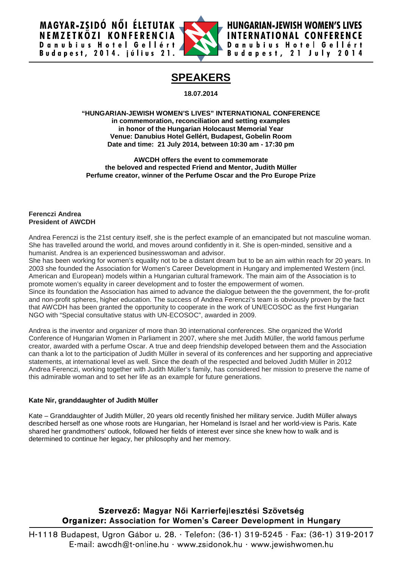MAGYAR-ZSIDÓ NŐI ÉLETUTAK NEMZETKÖZI KONFERENCIA Danubius Hotel Gellért<br>Budapest, 2014. július 21.



**HUNGARIAN-JEWISH WOMEN'S LIVES INTERNATIONAL CONFERENCE** Danubius Hotel Gellért Budapest, 21 July 2014

# **SPEAKERS**

**18.07.2014**

**"HUNGARIAN-JEWISH WOMEN'S LIVES" INTERNATIONAL CONFERENCE in commemoration, reconciliation and setting examples in honor of the Hungarian Holocaust Memorial Year Venue: Danubius Hotel Gellért, Budapest, Gobelin Room Date and time: 21 July 2014, between 10:30 am - 17:30 pm**

**AWCDH offers the event to commemorate the beloved and respected Friend and Mentor, Judith Müller Perfume creator, winner of the Perfume Oscar and the Pro Europe Prize**

## **Ferenczi Andrea President of AWCDH**

Andrea Ferenczi is the 21st century itself, she is the perfect example of an emancipated but not masculine woman. She has travelled around the world, and moves around confidently in it. She is open-minded, sensitive and a humanist. Andrea is an experienced businesswoman and advisor.

She has been working for women's equality not to be a distant dream but to be an aim within reach for 20 years. In 2003 she founded the Association for Women's Career Development in Hungary and implemented Western (incl. American and European) models within a Hungarian cultural framework. The main aim of the Association is to promote women's equality in career development and to foster the empowerment of women.

Since its foundation the Association has aimed to advance the dialogue between the the government, the for-profit and non-profit spheres, higher education. The success of Andrea Ferenczi's team is obviously proven by the fact that AWCDH has been granted the opportunity to cooperate in the work of UN/ECOSOC as the first Hungarian NGO with "Special consultative status with UN-ECOSOC", awarded in 2009.

Andrea is the inventor and organizer of more than 30 international conferences. She organized the World Conference of Hungarian Women in Parliament in 2007, where she met Judith Müller, the world famous perfume creator, awarded with a perfume Oscar. A true and deep friendship developed between them and the Association can thank a lot to the participation of Judith Müller in several of its conferences and her supporting and appreciative statements, at international level as well. Since the death of the respected and beloved Judith Müller in 2012 Andrea Ferenczi, working together with Judith Müller's family, has considered her mission to preserve the name of this admirable woman and to set her life as an example for future generations.

# **Kate Nir, granddaughter of Judith Müller**

Kate – Granddaughter of Judith Müller, 20 years old recently finished her military service. Judith Müller always described herself as one whose roots are Hungarian, her Homeland is Israel and her world-view is Paris. Kate shared her grandmothers' outlook, followed her fields of interest ever since she knew how to walk and is determined to continue her legacy, her philosophy and her memory.

# Szervező: Magyar Női Karrierfejlesztési Szövetség **Organizer: Association for Women's Career Development in Hungary**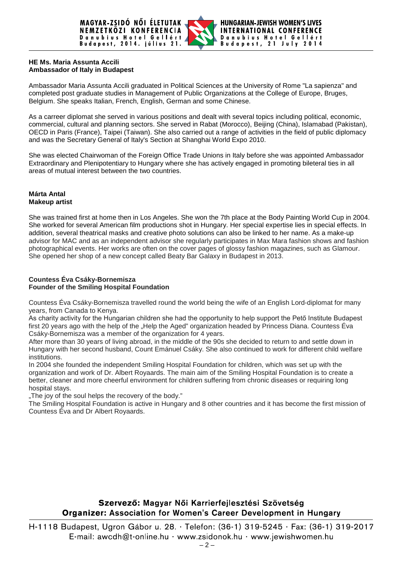

# **HE Ms. Maria Assunta Accili Ambassador of Italy in Budapest**

Ambassador Maria Assunta Accili graduated in Political Sciences at the University of Rome "La sapienza" and completed post graduate studies in Management of Public Organizations at the College of Europe, Bruges, Belgium. She speaks Italian, French, English, German and some Chinese.

As a carreer diplomat she served in various positions and dealt with several topics including political, economic, commercial, cultural and planning sectors. She served in Rabat (Morocco), Beijing (China), Islamabad (Pakistan), OECD in Paris (France), Taipei (Taiwan). She also carried out a range of activities in the field of public diplomacy and was the Secretary General of Italy's Section at Shanghai World Expo 2010.

She was elected Chairwoman of the Foreign Office Trade Unions in Italy before she was appointed Ambassador Extraordinary and Plenipotentiary to Hungary where she has actively engaged in promoting bileteral ties in all areas of mutual interest between the two countries.

# **Márta Antal Makeup artist**

She was trained first at home then in Los Angeles. She won the 7th place at the Body Painting World Cup in 2004. She worked for several American film productions shot in Hungary. Her special expertise lies in special effects. In addition, several theatrical masks and creative photo solutions can also be linked to her name. As a make-up advisor for MAC and as an independent advisor she regularly participates in Max Mara fashion shows and fashion photographical events. Her works are often on the cover pages of glossy fashion magazines, such as Glamour. She opened her shop of a new concept called Beaty Bar Galaxy in Budapest in 2013.

# **Countess Éva Csáky-Bornemisza Founder of the Smiling Hospital Foundation**

Countess Éva Csáky-Bornemisza travelled round the world being the wife of an English Lord-diplomat for many years, from Canada to Kenya.

As charity activity for the Hungarian children she had the opportunity to help support the Pető Institute Budapest first 20 years ago with the help of the "Help the Aged" organization headed by Princess Diana. Countess Éva Csáky-Bornemisza was a member of the organization for 4 years.

After more than 30 years of living abroad, in the middle of the 90s she decided to return to and settle down in Hungary with her second husband, Count Emánuel Csáky. She also continued to work for different child welfare institutions.

In 2004 she founded the independent Smiling Hospital Foundation for children, which was set up with the organization and work of Dr. Albert Royaards. The main aim of the Smiling Hospital Foundation is to create a better, cleaner and more cheerful environment for children suffering from chronic diseases or requiring long hospital stays.

"The joy of the soul helps the recovery of the body."

The Smiling Hospital Foundation is active in Hungary and 8 other countries and it has become the first mission of Countess Éva and Dr Albert Royaards.

# Szervező: Magyar Női Karrierfejlesztési Szövetség Organizer: Association for Women's Career Development in Hungary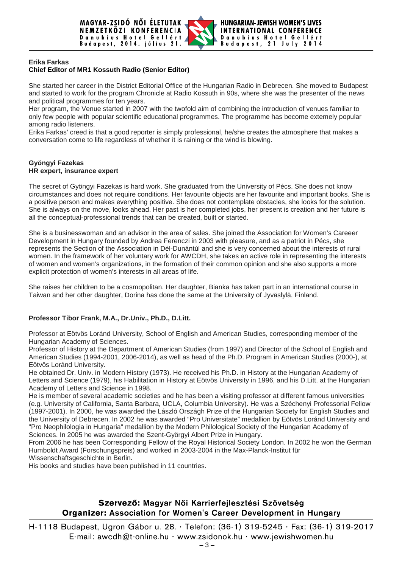

### **Erika Farkas**

# **Chief Editor of MR1 Kossuth Radio (Senior Editor)**

She started her career in the District Editorial Office of the Hungarian Radio in Debrecen. She moved to Budapest and started to work for the program Chronicle at Radio Kossuth in 90s, where she was the presenter of the news and political programmes for ten years.

Her program, the Venue started in 2007 with the twofold aim of combining the introduction of venues familiar to only few people with popular scientific educational programmes. The programme has become extemely popular among radio listeners.

Erika Farkas' creed is that a good reporter is simply professional, he/she creates the atmosphere that makes a conversation come to life regardless of whether it is raining or the wind is blowing.

#### **Gyöngyi Fazekas HR expert, insurance expert**

The secret of Gyöngyi Fazekas is hard work. She graduated from the University of Pécs. She does not know circumstances and does not require conditions. Her favourite objects are her favourite and important books. She is a positive person and makes everything positive. She does not contemplate obstacles, she looks for the solution. She is always on the move, looks ahead. Her past is her completed jobs, her present is creation and her future is all the conceptual-professional trends that can be created, built or started.

She is a businesswoman and an advisor in the area of sales. She joined the Association for Women's Careeer Development in Hungary founded by Andrea Ferenczi in 2003 with pleasure, and as a patriot in Pécs, she represents the Section of the Association in Dél-Dunántúl and she is very concerned about the interests of rural women. In the framework of her voluntary work for AWCDH, she takes an active role in representing the interests of women and women's organizations, in the formation of their common opinion and she also supports a more explicit protection of women's interests in all areas of life.

She raises her children to be a cosmopolitan. Her daughter, Bianka has taken part in an international course in Taiwan and her other daughter, Dorina has done the same at the University of Jyväslylä, Finland.

## **Professor Tibor Frank, M.A., Dr.Univ., Ph.D., D.Litt.**

Professor at Eötvös Loránd University, School of English and American Studies, corresponding member of the Hungarian Academy of Sciences.

Professor of History at the Department of American Studies (from 1997) and Director of the School of English and American Studies (1994-2001, 2006-2014), as well as head of the Ph.D. Program in American Studies (2000-), at Eötvös Loránd University.

He obtained Dr. Univ. in Modern History (1973). He received his Ph.D. in History at the Hungarian Academy of Letters and Science (1979), his Habilitation in History at Eötvös University in 1996, and his D.Litt. at the Hungarian Academy of Letters and Science in 1998.

He is member of several academic societies and he has been a visiting professor at different famous universities (e.g. University of California, Santa Barbara, UCLA, Columbia University). He was a Széchenyi Professorial Fellow (1997-2001). In 2000, he was awarded the László Országh Prize of the Hungarian Society for English Studies and the University of Debrecen. In 2002 he was awarded "Pro Universitate" medallion by Eötvös Loránd University and "Pro Neophilologia in Hungaria" medallion by the Modern Philological Society of the Hungarian Academy of Sciences. In 2005 he was awarded the Szent-Györgyi Albert Prize in Hungary.

From 2006 he has been Corresponding Fellow of the Royal Historical Society London. In 2002 he won the German Humboldt Award (Forschungspreis) and worked in 2003-2004 in the Max-Planck-Institut für

Wissenschaftsgeschichte in Berlin.

His books and studies have been published in 11 countries.

# Szervező: Magyar Női Karrierfejlesztési Szövetség **Organizer: Association for Women's Career Development in Hungary**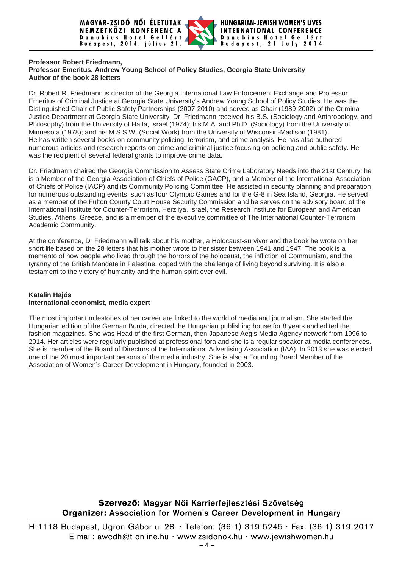

#### **Professor Robert Friedmann, Professor Emeritus, Andrew Young School of Policy Studies, Georgia State University Author of the book 28 letters**

Dr. Robert R. Friedmann is director of the Georgia International Law Enforcement Exchange and Professor Emeritus of Criminal Justice at Georgia State University's Andrew Young School of Policy Studies. He was the Distinguished Chair of Public Safety Partnerships (2007-2010) and served as Chair [\(1989-2002\)](tel:%281989-2002) of the Criminal Justice Department at Georgia State University. Dr. Friedmann received his B.S. (Sociology and Anthropology, and Philosophy) from the University of Haifa, Israel (1974); his M.A. and Ph.D. (Sociology) from the University of Minnesota (1978); and his M.S.S.W. (Social Work) from the University of Wisconsin-Madison (1981). He has written several books on community policing, terrorism, and crime analysis. He has also authored numerous articles and research reports on crime and criminal justice focusing on policing and public safety. He was the recipient of several federal grants to improve crime data.

Dr. Friedmann chaired the Georgia Commission to Assess State Crime Laboratory Needs into the 21st Century; he is a Member of the Georgia Association of Chiefs of Police (GACP), and a Member of the International Association of Chiefs of Police (IACP) and its Community Policing Committee. He assisted in security planning and preparation for numerous outstanding events, such as four Olympic Games and for the G-8 in Sea Island, Georgia. He served as a member of the Fulton County Court House Security Commission and he serves on the advisory board of the International Institute for Counter-Terrorism, Herzliya, Israel, the Research Institute for European and American Studies, Athens, Greece, and is a member of the executive committee of The International Counter-Terrorism Academic Community.

At the conference, Dr Friedmann will talk about his mother, a Holocaust-survivor and the book he wrote on her short life based on the 28 letters that his mother wrote to her sister between 1941 and 1947. The book is a memento of how people who lived through the horrors of the holocaust, the infliction of Communism, and the tyranny of the British Mandate in Palestine, coped with the challenge of living beyond surviving. It is also a testament to the victory of humanity and the human spirit over evil.

### **Katalin Hajós International economist, media expert**

The most important milestones of her career are linked to the world of media and journalism. She started the Hungarian edition of the German Burda, directed the Hungarian publishing house for 8 years and edited the fashion magazines. She was Head of the first German, then Japanese Aegis Media Agency network from 1996 to 2014. Her articles were regularly published at professional fora and she is a regular speaker at media conferences. She is member of the Board of Directors of the International Advertising Association (IAA). In 2013 she was elected one of the 20 most important persons of the media industry. She is also a Founding Board Member of the Association of Women's Career Development in Hungary, founded in 2003.

# Szervező: Magyar Női Karrierfejlesztési Szövetség **Organizer: Association for Women's Career Development in Hungary**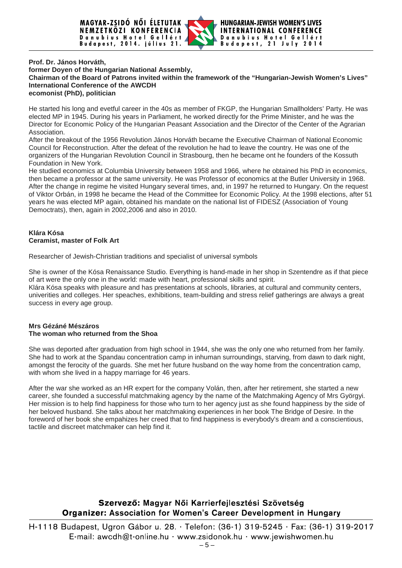

#### **Prof. Dr. János Horváth, former Doyen of the Hungarian National Assembly, Chairman of the Board of Patrons invited within the framework of the "Hungarian-Jewish Women's Lives" International Conference of the AWCDH ecomonist (PhD), politician**

He started his long and evetful career in the 40s as member of FKGP, the Hungarian Smallholders' Party. He was elected MP in 1945. During his years in Parliament, he worked directly for the Prime Minister, and he was the Director for Economic Policy of the Hungarian Peasant Association and the Director of the Center of the Agrarian Association.

After the breakout of the 1956 Revolution János Horváth became the Executive Chairman of National Economic Council for Reconstruction. After the defeat of the revolution he had to leave the country. He was one of the organizers of the Hungarian Revolution Council in Strasbourg, then he became ont he founders of the Kossuth Foundation in New York.

He studied economics at Columbia University between 1958 and 1966, where he obtained his PhD in economics, then became a professor at the same university. He was Professor of economics at the Butler University in 1968. After the change in regime he visited Hungary several times, and, in 1997 he returned to Hungary. On the request of Viktor Orbán, in 1998 he became the Head of the Committee for Economic Policy. At the 1998 elections, after 51 years he was elected MP again, obtained his mandate on the national list of FIDESZ (Association of Young Democtrats), then, again in 2002,2006 and also in 2010.

# **Klára Kósa Ceramist, master of Folk Art**

Researcher of Jewish-Christian traditions and specialist of universal symbols

She is owner of the Kósa Renaissance Studio. Everything is hand-made in her shop in Szentendre as if that piece of art were the only one in the world: made with heart, professional skills and spirit. Klára Kósa speaks with pleasure and has presentations at schools, libraries, at cultural and community centers, univerities and colleges. Her speaches, exhibitions, team-building and stress relief gatherings are always a great success in every age group.

## **Mrs Gézáné Mészáros The woman who returned from the Shoa**

She was deported after graduation from high school in 1944, she was the only one who returned from her family. She had to work at the Spandau concentration camp in inhuman surroundings, starving, from dawn to dark night, amongst the ferocity of the guards. She met her future husband on the way home from the concentration camp, with whom she lived in a happy marriage for 46 years.

After the war she worked as an HR expert for the company Volán, then, after her retirement, she started a new career, she founded a successful matchmaking agency by the name of the Matchmaking Agency of Mrs Györgyi. Her mission is to help find happiness for those who turn to her agency just as she found happiness by the side of her beloved husband. She talks about her matchmaking experiences in her book The Bridge of Desire. In the foreword of her book she empahizes her creed that to find happiness is everybody's dream and a conscientious, tactile and discreet matchmaker can help find it.

# Szervező: Magyar Női Karrierfejlesztési Szövetség **Organizer: Association for Women's Career Development in Hungary**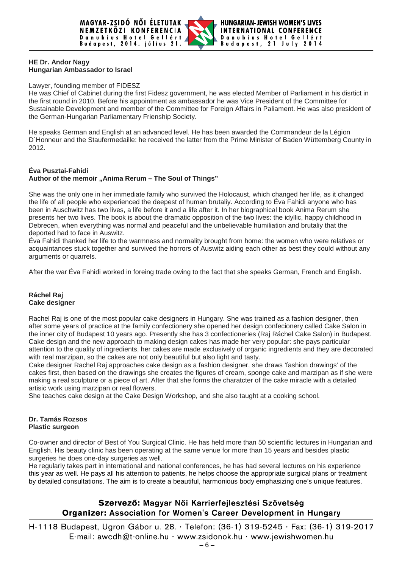

### **HE Dr. Andor Nagy Hungarian Ambassador to Israel**

#### Lawyer, founding member of FIDESZ

He was Chief of Cabinet during the first Fidesz government, he was elected Member of Parliament in his disrtict in the first round in 2010. Before his appointment as ambassador he was Vice President of the Committee for Sustainable Development and member of the Committee for Foreign Affairs in Paliament. He was also president of the German-Hungarian Parliamentary Frienship Society.

He speaks German and English at an advanced level. He has been awarded the Commandeur de la Légion D`Honneur and the Staufermedaille: he received the latter from the Prime Minister of Baden Wüttemberg County in 2012.

### **Éva Pusztai-Fahidi**

## **Author of the memoir "Anima Rerum – The Soul of Things"**

She was the only one in her immediate family who survived the Holocaust, which changed her life, as it changed the life of all people who experienced the deepest of human brutaliy. According to Éva Fahidi anyone who has been in Auschwitz has two lives, a life before it and a life after it. In her biographical book Anima Rerum she presents her two lives. The book is about the dramatic opposition of the two lives: the idyllic, happy childhood in Debrecen, when everything was normal and peaceful and the unbelievable humiliation and brutaliy that the deported had to face in Auswitz.

Éva Fahidi thanked her life to the warmness and normality brought from home: the women who were relatives or acquaintances stuck together and survived the horrors of Auswitz aiding each other as best they could without any arguments or quarrels.

After the war Éva Fahidi worked in foreing trade owing to the fact that she speaks German, French and English.

#### **Ráchel Raj Cake designer**

Rachel Raj is one of the most popular cake designers in Hungary. She was trained as a fashion designer, then after some years of practice at the family confectionery she opened her design confecionery called Cake Salon in the inner city of Budapest 10 years ago. Presently she has 3 confectioneries (Raj Ráchel Cake Salon) in Budapest. Cake design and the new approach to making design cakes has made her very popular: she pays particular attention to the quality of ingredients, her cakes are made exclusively of organic ingredients and they are decorated with real marzipan, so the cakes are not only beautiful but also light and tasty.

Cake designer Rachel Raj approaches cake design as a fashion designer, she draws 'fashion drawings' of the cakes first, then based on the drawings she creates the figures of cream, sponge cake and marzipan as if she were making a real sculpture or a piece of art. After that she forms the charatcter of the cake miracle with a detailed artisic work using marzipan or real flowers.

She teaches cake design at the Cake Design Workshop, and she also taught at a cooking school.

### **Dr. Tamás Rozsos Plastic surgeon**

Co-owner and director of Best of You Surgical Clinic. He has held more than 50 scientific lectures in Hungarian and English. His beauty clinic has been operating at the same venue for more than 15 years and besides plastic surgeries he does one-day surgeries as well.

He regularly takes part in international and national conferences, he has had several lectures on his experience this year as well. He pays all his attention to patients, he helps choose the appropriate surgical plans or treatment by detailed consultations. The aim is to create a beautiful, harmonious body emphasizing one's unique features.

# Szervező: Magyar Női Karrierfejlesztési Szövetség Organizer: Association for Women's Career Development in Hungary